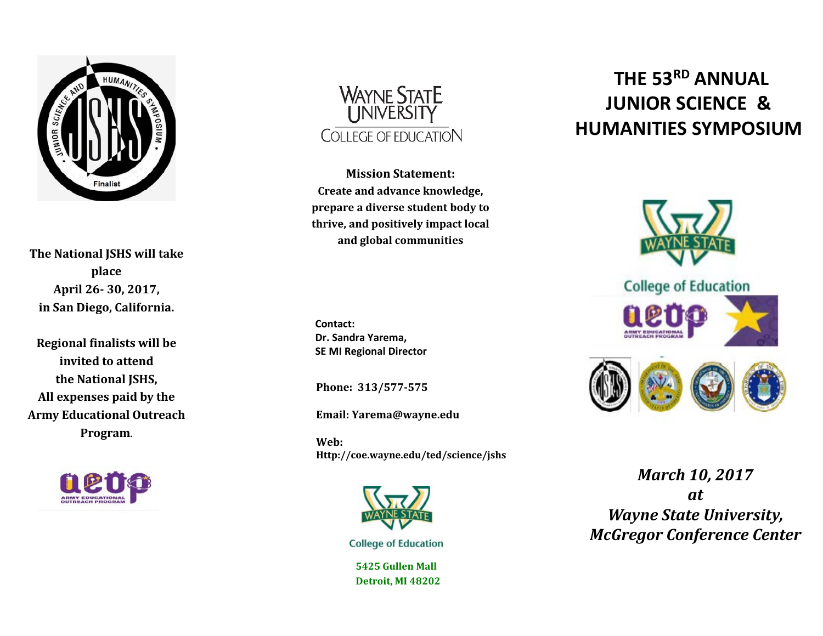

**The National JSHS will take place April 26- 30, 2017, in San Diego, California.** 

**Regional finalists will be invited to attend the National JSHS, All expenses paid by the Army Educational Outreach Program**.





**Mission Statement: Create and advance knowledge, prepare a diverse student body to thrive, and positively impact local and global communities**

**Contact: Dr. Sandra Yarema, SE MI Regional Director**

**Phone: 313/577-575**

**Email: Yarema@wayne.edu**

**Web: Http://coe.wayne.edu/ted/science/jshs**



**College of Education** 

**5425 Gullen Mall Detroit, MI 48202**

## **THE 53RD ANNUAL JUNIOR SCIENCE & HUMANITIES SYMPOSIUM**



*March 10, 2017 at Wayne State University, McGregor Conference Center*